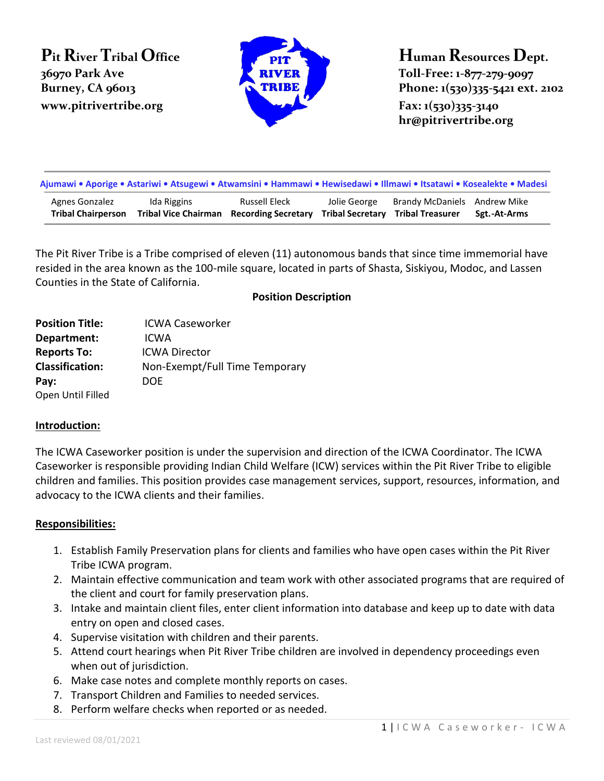**Pit River Tribal Office 36970 Park Ave www.pitrivertribe.org Fax: 1(530)335-3140** 



**Human Resources Dept. Toll-Free: 1-877-279-9097 Burney, CA 96013 Phone: 1(530)335-5421 ext. 2102** 

**hr@pitrivertribe.org**

| Ajumawi • Aporige • Astariwi • Atsugewi • Atwamsini • Hammawi • Hewisedawi • Illmawi • Itsatawi • Kosealekte • Madesi |             |                                                                  |              |                                                                          |              |  |
|-----------------------------------------------------------------------------------------------------------------------|-------------|------------------------------------------------------------------|--------------|--------------------------------------------------------------------------|--------------|--|
| Agnes Gonzalez<br><b>Tribal Chairperson</b>                                                                           | Ida Riggins | Russell Eleck<br><b>Tribal Vice Chairman</b> Recording Secretary | Jolie George | Brandy McDaniels Andrew Mike<br><b>Tribal Secretary Tribal Treasurer</b> | Sgt.-At-Arms |  |

The Pit River Tribe is a Tribe comprised of eleven (11) autonomous bands that since time immemorial have resided in the area known as the 100-mile square, located in parts of Shasta, Siskiyou, Modoc, and Lassen Counties in the State of California.

**Position Description**

| <b>Position Title:</b> | <b>ICWA Caseworker</b>         |
|------------------------|--------------------------------|
| Department:            | ICWA                           |
| <b>Reports To:</b>     | <b>ICWA Director</b>           |
| <b>Classification:</b> | Non-Exempt/Full Time Temporary |
| Pay:                   | DOE                            |
| Open Until Filled      |                                |

## **Introduction:**

The ICWA Caseworker position is under the supervision and direction of the ICWA Coordinator. The ICWA Caseworker is responsible providing Indian Child Welfare (ICW) services within the Pit River Tribe to eligible children and families. This position provides case management services, support, resources, information, and advocacy to the ICWA clients and their families.

## **Responsibilities:**

- 1. Establish Family Preservation plans for clients and families who have open cases within the Pit River Tribe ICWA program.
- 2. Maintain effective communication and team work with other associated programs that are required of the client and court for family preservation plans.
- 3. Intake and maintain client files, enter client information into database and keep up to date with data entry on open and closed cases.
- 4. Supervise visitation with children and their parents.
- 5. Attend court hearings when Pit River Tribe children are involved in dependency proceedings even when out of jurisdiction.
- 6. Make case notes and complete monthly reports on cases.
- 7. Transport Children and Families to needed services.
- 8. Perform welfare checks when reported or as needed.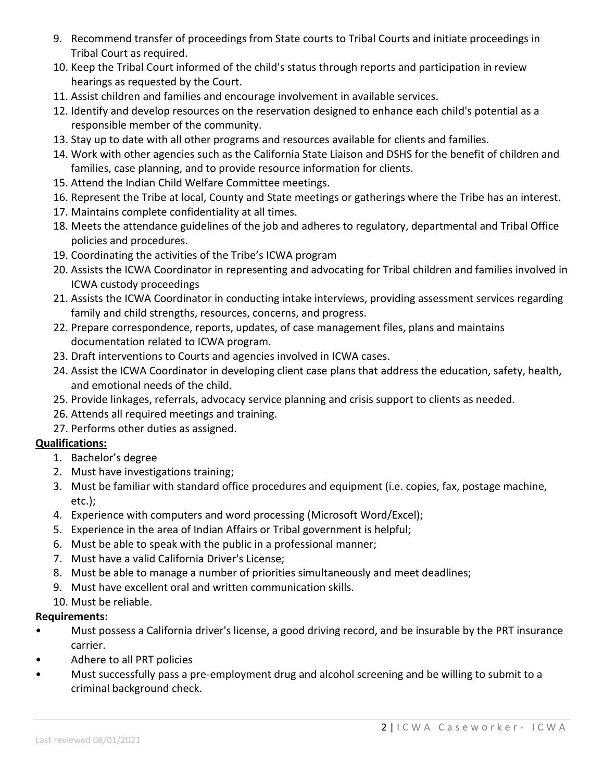- 9. Recommend transfer of proceedings from State courts to Tribal Courts and initiate proceedings in Tribal Court as required.
- 10. Keep the Tribal Court informed of the child's status through reports and participation in review hearings as requested by the Court.
- 11. Assist children and families and encourage involvement in available services.
- 12. Identify and develop resources on the reservation designed to enhance each child's potential as a responsible member of the community.
- 13. Stay up to date with all other programs and resources available for clients and families.
- 14. Work with other agencies such as the California State Liaison and DSHS for the benefit of children and families, case planning, and to provide resource information for clients.
- 15. Attend the Indian Child Welfare Committee meetings.
- 16. Represent the Tribe at local, County and State meetings or gatherings where the Tribe has an interest.
- 17. Maintains complete confidentiality at all times.
- 18. Meets the attendance guidelines of the job and adheres to regulatory, departmental and Tribal Office policies and procedures.
- 19. Coordinating the activities of the Tribe's ICWA program
- 20. Assists the ICWA Coordinator in representing and advocating for Tribal children and families involved in ICWA custody proceedings
- 21. Assists the ICWA Coordinator in conducting intake interviews, providing assessment services regarding family and child strengths, resources, concerns, and progress.
- 22. Prepare correspondence, reports, updates, of case management files, plans and maintains documentation related to ICWA program.
- 23. Draft interventions to Courts and agencies involved in ICWA cases.
- 24. Assist the ICWA Coordinator in developing client case plans that address the education, safety, health, and emotional needs of the child.
- 25. Provide linkages, referrals, advocacy service planning and crisis support to clients as needed.
- 26. Attends all required meetings and training.
- 27. Performs other duties as assigned.

# **Qualifications:**

- 1. Bachelor's degree
- 2. Must have investigations training;
- 3. Must be familiar with standard office procedures and equipment (i.e. copies, fax, postage machine, etc.);
- 4. Experience with computers and word processing (Microsoft Word/Excel);
- 5. Experience in the area of Indian Affairs or Tribal government is helpful;
- 6. Must be able to speak with the public in a professional manner;
- 7. Must have a valid California Driver's License;
- 8. Must be able to manage a number of priorities simultaneously and meet deadlines;
- 9. Must have excellent oral and written communication skills.
- 10. Must be reliable.

## **Requirements:**

- Must possess a California driver's license, a good driving record, and be insurable by the PRT insurance carrier.
- Adhere to all PRT policies
- Must successfully pass a pre-employment drug and alcohol screening and be willing to submit to a criminal background check.